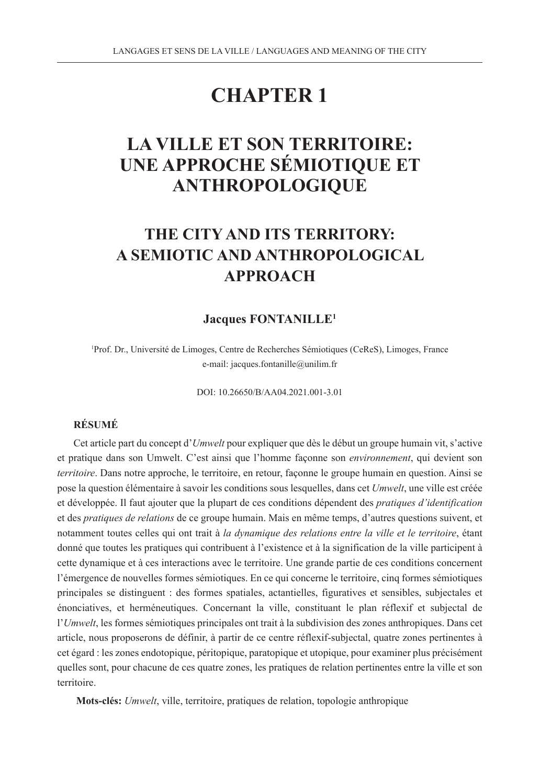# **CHAPTER 1**

# **LA VILLE ET SON TERRITOIRE: UNE APPROCHE SÉMIOTIQUE ET ANTHROPOLOGIQUE**

# **THE CITY AND ITS TERRITORY: A SEMIOTIC AND ANTHROPOLOGICAL APPROACH**

#### **Jacques FONTANILLE1**

1 Prof. Dr., Université de Limoges, Centre de Recherches Sémiotiques (CeReS), Limoges, France e-mail: jacques.fontanille@unilim.fr

DOI: 10.26650/B/AA04.2021.001-3.01

#### **RÉSUMÉ**

Cet article part du concept d'*Umwelt* pour expliquer que dès le début un groupe humain vit, s'active et pratique dans son Umwelt. C'est ainsi que l'homme façonne son *environnement*, qui devient son *territoire*. Dans notre approche, le territoire, en retour, façonne le groupe humain en question. Ainsi se pose la question élémentaire à savoir les conditions sous lesquelles, dans cet *Umwelt*, une ville est créée et développée. Il faut ajouter que la plupart de ces conditions dépendent des *pratiques d'identification* et des *pratiques de relations* de ce groupe humain. Mais en même temps, d'autres questions suivent, et notamment toutes celles qui ont trait à *la dynamique des relations entre la ville et le territoire*, étant donné que toutes les pratiques qui contribuent à l'existence et à la signification de la ville participent à cette dynamique et à ces interactions avec le territoire. Une grande partie de ces conditions concernent l'émergence de nouvelles formes sémiotiques. En ce qui concerne le territoire, cinq formes sémiotiques principales se distinguent : des formes spatiales, actantielles, figuratives et sensibles, subjectales et énonciatives, et herméneutiques. Concernant la ville, constituant le plan réflexif et subjectal de l'*Umwelt*, les formes sémiotiques principales ont trait à la subdivision des zones anthropiques. Dans cet article, nous proposerons de définir, à partir de ce centre réflexif-subjectal, quatre zones pertinentes à cet égard : les zones endotopique, péritopique, paratopique et utopique, pour examiner plus précisément quelles sont, pour chacune de ces quatre zones, les pratiques de relation pertinentes entre la ville et son territoire.

**Mots-clés:** *Umwelt*, ville, territoire, pratiques de relation, topologie anthropique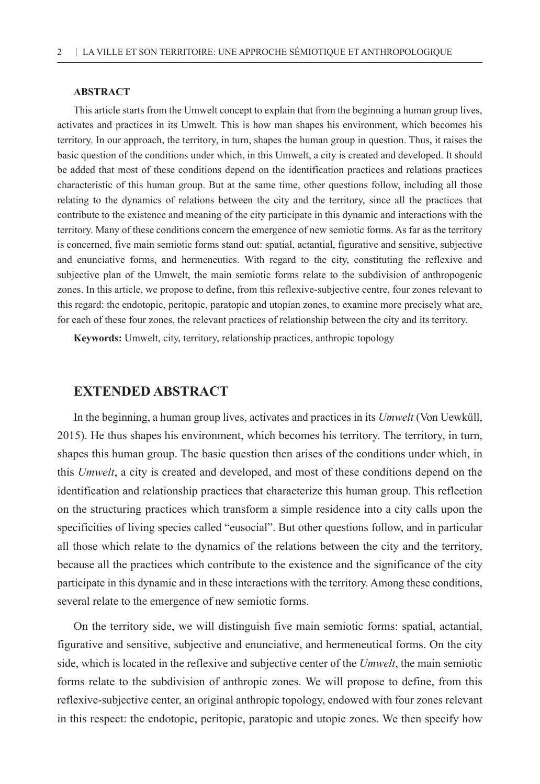#### **ABSTRACT**

This article starts from the Umwelt concept to explain that from the beginning a human group lives, activates and practices in its Umwelt. This is how man shapes his environment, which becomes his territory. In our approach, the territory, in turn, shapes the human group in question. Thus, it raises the basic question of the conditions under which, in this Umwelt, a city is created and developed. It should be added that most of these conditions depend on the identification practices and relations practices characteristic of this human group. But at the same time, other questions follow, including all those relating to the dynamics of relations between the city and the territory, since all the practices that contribute to the existence and meaning of the city participate in this dynamic and interactions with the territory. Many of these conditions concern the emergence of new semiotic forms. As far as the territory is concerned, five main semiotic forms stand out: spatial, actantial, figurative and sensitive, subjective and enunciative forms, and hermeneutics. With regard to the city, constituting the reflexive and subjective plan of the Umwelt, the main semiotic forms relate to the subdivision of anthropogenic zones. In this article, we propose to define, from this reflexive-subjective centre, four zones relevant to this regard: the endotopic, peritopic, paratopic and utopian zones, to examine more precisely what are, for each of these four zones, the relevant practices of relationship between the city and its territory.

**Keywords:** Umwelt, city, territory, relationship practices, anthropic topology

#### **EXTENDED ABSTRACT**

In the beginning, a human group lives, activates and practices in its *Umwelt* (Von Uewküll, 2015). He thus shapes his environment, which becomes his territory. The territory, in turn, shapes this human group. The basic question then arises of the conditions under which, in this *Umwelt*, a city is created and developed, and most of these conditions depend on the identification and relationship practices that characterize this human group. This reflection on the structuring practices which transform a simple residence into a city calls upon the specificities of living species called "eusocial". But other questions follow, and in particular all those which relate to the dynamics of the relations between the city and the territory, because all the practices which contribute to the existence and the significance of the city participate in this dynamic and in these interactions with the territory. Among these conditions, several relate to the emergence of new semiotic forms.

On the territory side, we will distinguish five main semiotic forms: spatial, actantial, figurative and sensitive, subjective and enunciative, and hermeneutical forms. On the city side, which is located in the reflexive and subjective center of the *Umwelt*, the main semiotic forms relate to the subdivision of anthropic zones. We will propose to define, from this reflexive-subjective center, an original anthropic topology, endowed with four zones relevant in this respect: the endotopic, peritopic, paratopic and utopic zones. We then specify how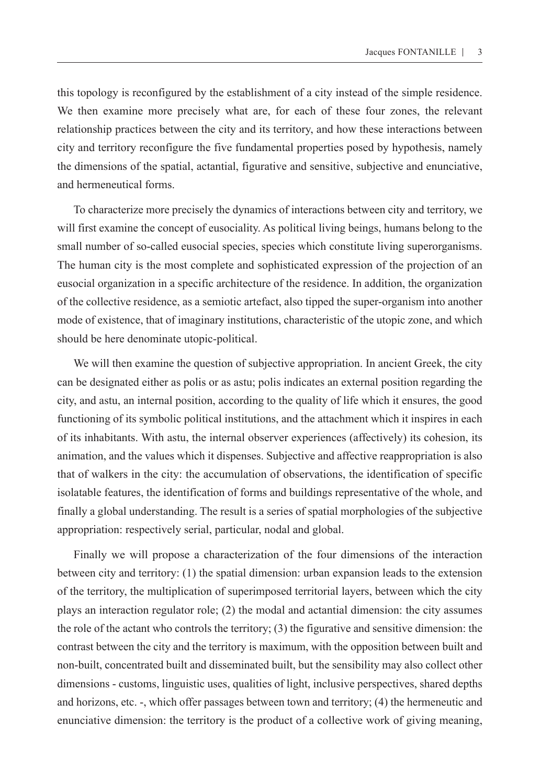this topology is reconfigured by the establishment of a city instead of the simple residence. We then examine more precisely what are, for each of these four zones, the relevant relationship practices between the city and its territory, and how these interactions between city and territory reconfigure the five fundamental properties posed by hypothesis, namely the dimensions of the spatial, actantial, figurative and sensitive, subjective and enunciative, and hermeneutical forms.

To characterize more precisely the dynamics of interactions between city and territory, we will first examine the concept of eusociality. As political living beings, humans belong to the small number of so-called eusocial species, species which constitute living superorganisms. The human city is the most complete and sophisticated expression of the projection of an eusocial organization in a specific architecture of the residence. In addition, the organization of the collective residence, as a semiotic artefact, also tipped the super-organism into another mode of existence, that of imaginary institutions, characteristic of the utopic zone, and which should be here denominate utopic-political.

We will then examine the question of subjective appropriation. In ancient Greek, the city can be designated either as polis or as astu; polis indicates an external position regarding the city, and astu, an internal position, according to the quality of life which it ensures, the good functioning of its symbolic political institutions, and the attachment which it inspires in each of its inhabitants. With astu, the internal observer experiences (affectively) its cohesion, its animation, and the values which it dispenses. Subjective and affective reappropriation is also that of walkers in the city: the accumulation of observations, the identification of specific isolatable features, the identification of forms and buildings representative of the whole, and finally a global understanding. The result is a series of spatial morphologies of the subjective appropriation: respectively serial, particular, nodal and global.

Finally we will propose a characterization of the four dimensions of the interaction between city and territory: (1) the spatial dimension: urban expansion leads to the extension of the territory, the multiplication of superimposed territorial layers, between which the city plays an interaction regulator role; (2) the modal and actantial dimension: the city assumes the role of the actant who controls the territory; (3) the figurative and sensitive dimension: the contrast between the city and the territory is maximum, with the opposition between built and non-built, concentrated built and disseminated built, but the sensibility may also collect other dimensions - customs, linguistic uses, qualities of light, inclusive perspectives, shared depths and horizons, etc. -, which offer passages between town and territory; (4) the hermeneutic and enunciative dimension: the territory is the product of a collective work of giving meaning,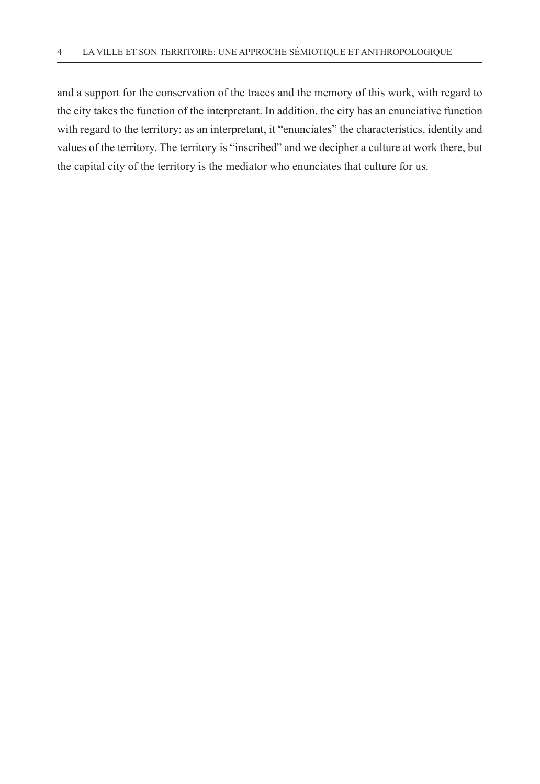and a support for the conservation of the traces and the memory of this work, with regard to the city takes the function of the interpretant. In addition, the city has an enunciative function with regard to the territory: as an interpretant, it "enunciates" the characteristics, identity and values of the territory. The territory is "inscribed" and we decipher a culture at work there, but the capital city of the territory is the mediator who enunciates that culture for us.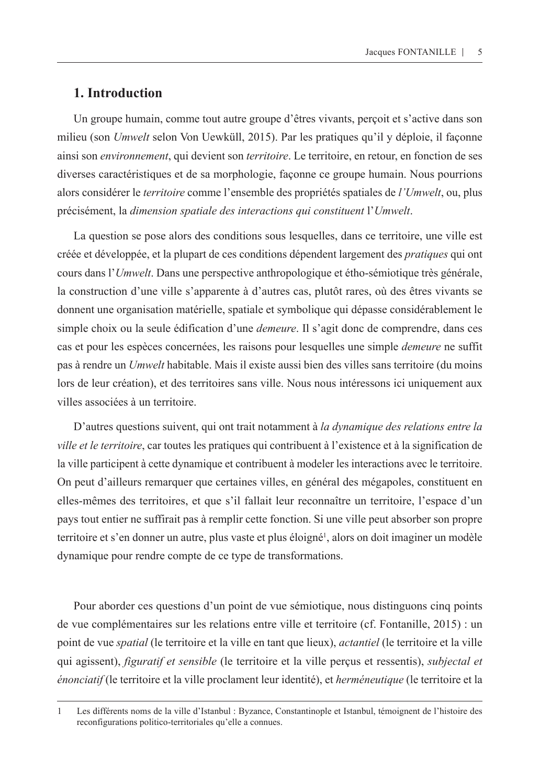### **1. Introduction**

Un groupe humain, comme tout autre groupe d'êtres vivants, perçoit et s'active dans son milieu (son *Umwelt* selon Von Uewküll, 2015). Par les pratiques qu'il y déploie, il façonne ainsi son *environnement*, qui devient son *territoire*. Le territoire, en retour, en fonction de ses diverses caractéristiques et de sa morphologie, façonne ce groupe humain. Nous pourrions alors considérer le *territoire* comme l'ensemble des propriétés spatiales de *l'Umwelt*, ou, plus précisément, la *dimension spatiale des interactions qui constituent* l'*Umwelt*.

La question se pose alors des conditions sous lesquelles, dans ce territoire, une ville est créée et développée, et la plupart de ces conditions dépendent largement des *pratiques* qui ont cours dans l'*Umwelt*. Dans une perspective anthropologique et étho-sémiotique très générale, la construction d'une ville s'apparente à d'autres cas, plutôt rares, où des êtres vivants se donnent une organisation matérielle, spatiale et symbolique qui dépasse considérablement le simple choix ou la seule édification d'une *demeure*. Il s'agit donc de comprendre, dans ces cas et pour les espèces concernées, les raisons pour lesquelles une simple *demeure* ne suffit pas à rendre un *Umwelt* habitable. Mais il existe aussi bien des villes sans territoire (du moins lors de leur création), et des territoires sans ville. Nous nous intéressons ici uniquement aux villes associées à un territoire.

D'autres questions suivent, qui ont trait notamment à *la dynamique des relations entre la ville et le territoire*, car toutes les pratiques qui contribuent à l'existence et à la signification de la ville participent à cette dynamique et contribuent à modeler les interactions avec le territoire. On peut d'ailleurs remarquer que certaines villes, en général des mégapoles, constituent en elles-mêmes des territoires, et que s'il fallait leur reconnaître un territoire, l'espace d'un pays tout entier ne suffirait pas à remplir cette fonction. Si une ville peut absorber son propre territoire et s'en donner un autre, plus vaste et plus éloigné<sup>1</sup>, alors on doit imaginer un modèle dynamique pour rendre compte de ce type de transformations.

Pour aborder ces questions d'un point de vue sémiotique, nous distinguons cinq points de vue complémentaires sur les relations entre ville et territoire (cf. Fontanille, 2015) : un point de vue *spatial* (le territoire et la ville en tant que lieux), *actantiel* (le territoire et la ville qui agissent), *figuratif et sensible* (le territoire et la ville perçus et ressentis), *subjectal et énonciatif* (le territoire et la ville proclament leur identité), et *herméneutique* (le territoire et la

<sup>1</sup> Les différents noms de la ville d'Istanbul : Byzance, Constantinople et Istanbul, témoignent de l'histoire des reconfigurations politico-territoriales qu'elle a connues.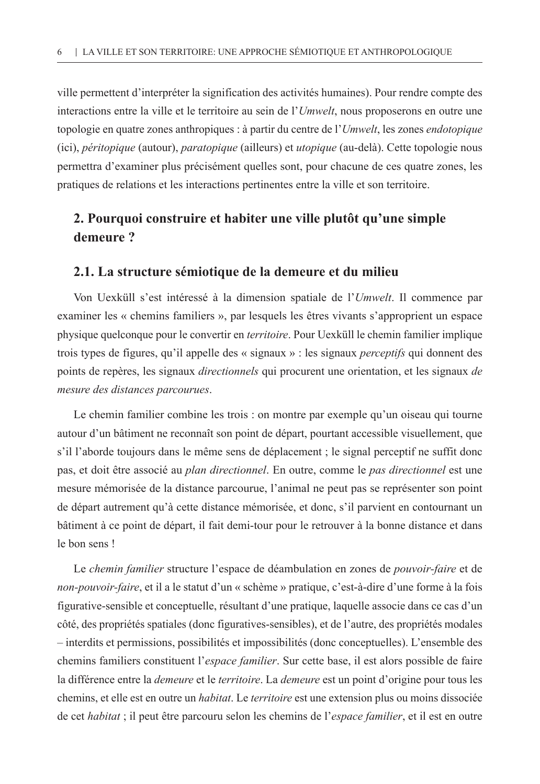ville permettent d'interpréter la signification des activités humaines). Pour rendre compte des interactions entre la ville et le territoire au sein de l'*Umwelt*, nous proposerons en outre une topologie en quatre zones anthropiques : à partir du centre de l'*Umwelt*, les zones *endotopique* (ici), *péritopique* (autour), *paratopique* (ailleurs) et *utopique* (au-delà). Cette topologie nous permettra d'examiner plus précisément quelles sont, pour chacune de ces quatre zones, les pratiques de relations et les interactions pertinentes entre la ville et son territoire.

# **2. Pourquoi construire et habiter une ville plutôt qu'une simple demeure ?**

#### **2.1. La structure sémiotique de la demeure et du milieu**

Von Uexküll s'est intéressé à la dimension spatiale de l'*Umwelt*. Il commence par examiner les « chemins familiers », par lesquels les êtres vivants s'approprient un espace physique quelconque pour le convertir en *territoire*. Pour Uexküll le chemin familier implique trois types de figures, qu'il appelle des « signaux » : les signaux *perceptifs* qui donnent des points de repères, les signaux *directionnels* qui procurent une orientation, et les signaux *de mesure des distances parcourues*.

Le chemin familier combine les trois : on montre par exemple qu'un oiseau qui tourne autour d'un bâtiment ne reconnaît son point de départ, pourtant accessible visuellement, que s'il l'aborde toujours dans le même sens de déplacement ; le signal perceptif ne suffit donc pas, et doit être associé au *plan directionnel*. En outre, comme le *pas directionnel* est une mesure mémorisée de la distance parcourue, l'animal ne peut pas se représenter son point de départ autrement qu'à cette distance mémorisée, et donc, s'il parvient en contournant un bâtiment à ce point de départ, il fait demi-tour pour le retrouver à la bonne distance et dans le bon sens !

Le *chemin familier* structure l'espace de déambulation en zones de *pouvoir-faire* et de *non-pouvoir-faire*, et il a le statut d'un « schème » pratique, c'est-à-dire d'une forme à la fois figurative-sensible et conceptuelle, résultant d'une pratique, laquelle associe dans ce cas d'un côté, des propriétés spatiales (donc figuratives-sensibles), et de l'autre, des propriétés modales – interdits et permissions, possibilités et impossibilités (donc conceptuelles). L'ensemble des chemins familiers constituent l'*espace familier*. Sur cette base, il est alors possible de faire la différence entre la *demeure* et le *territoire*. La *demeure* est un point d'origine pour tous les chemins, et elle est en outre un *habitat*. Le *territoire* est une extension plus ou moins dissociée de cet *habitat* ; il peut être parcouru selon les chemins de l'*espace familier*, et il est en outre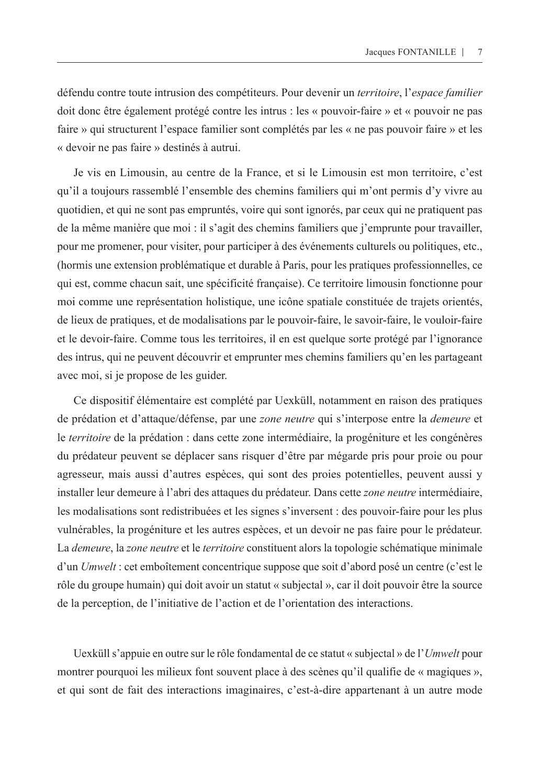défendu contre toute intrusion des compétiteurs. Pour devenir un *territoire*, l'*espace familier* doit donc être également protégé contre les intrus : les « pouvoir-faire » et « pouvoir ne pas faire » qui structurent l'espace familier sont complétés par les « ne pas pouvoir faire » et les « devoir ne pas faire » destinés à autrui.

Je vis en Limousin, au centre de la France, et si le Limousin est mon territoire, c'est qu'il a toujours rassemblé l'ensemble des chemins familiers qui m'ont permis d'y vivre au quotidien, et qui ne sont pas empruntés, voire qui sont ignorés, par ceux qui ne pratiquent pas de la même manière que moi : il s'agit des chemins familiers que j'emprunte pour travailler, pour me promener, pour visiter, pour participer à des événements culturels ou politiques, etc., (hormis une extension problématique et durable à Paris, pour les pratiques professionnelles, ce qui est, comme chacun sait, une spécificité française). Ce territoire limousin fonctionne pour moi comme une représentation holistique, une icône spatiale constituée de trajets orientés, de lieux de pratiques, et de modalisations par le pouvoir-faire, le savoir-faire, le vouloir-faire et le devoir-faire. Comme tous les territoires, il en est quelque sorte protégé par l'ignorance des intrus, qui ne peuvent découvrir et emprunter mes chemins familiers qu'en les partageant avec moi, si je propose de les guider.

Ce dispositif élémentaire est complété par Uexküll, notamment en raison des pratiques de prédation et d'attaque/défense, par une *zone neutre* qui s'interpose entre la *demeure* et le *territoire* de la prédation : dans cette zone intermédiaire, la progéniture et les congénères du prédateur peuvent se déplacer sans risquer d'être par mégarde pris pour proie ou pour agresseur, mais aussi d'autres espèces, qui sont des proies potentielles, peuvent aussi y installer leur demeure à l'abri des attaques du prédateur. Dans cette *zone neutre* intermédiaire, les modalisations sont redistribuées et les signes s'inversent : des pouvoir-faire pour les plus vulnérables, la progéniture et les autres espèces, et un devoir ne pas faire pour le prédateur. La *demeure*, la *zone neutre* et le *territoire* constituent alors la topologie schématique minimale d'un *Umwelt* : cet emboîtement concentrique suppose que soit d'abord posé un centre (c'est le rôle du groupe humain) qui doit avoir un statut « subjectal », car il doit pouvoir être la source de la perception, de l'initiative de l'action et de l'orientation des interactions.

Uexküll s'appuie en outre sur le rôle fondamental de ce statut « subjectal » de l'*Umwelt* pour montrer pourquoi les milieux font souvent place à des scènes qu'il qualifie de « magiques », et qui sont de fait des interactions imaginaires, c'est-à-dire appartenant à un autre mode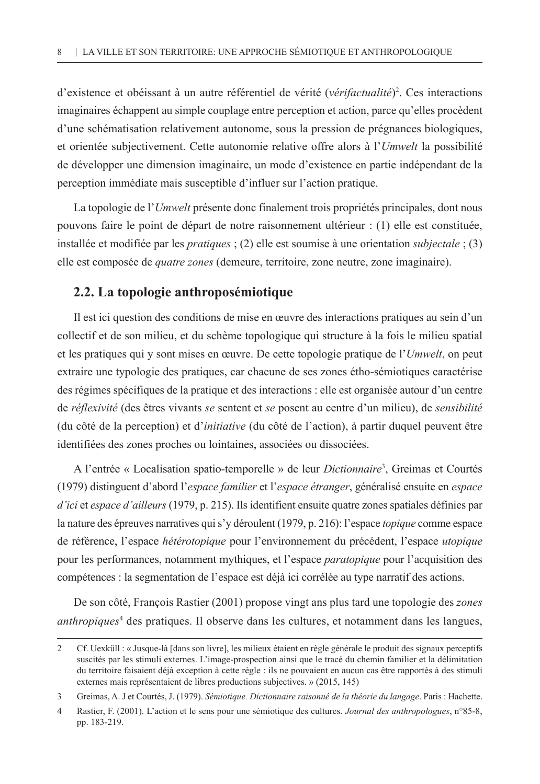d'existence et obéissant à un autre référentiel de vérité (*vérifactualité*) 2 . Ces interactions imaginaires échappent au simple couplage entre perception et action, parce qu'elles procèdent d'une schématisation relativement autonome, sous la pression de prégnances biologiques, et orientée subjectivement. Cette autonomie relative offre alors à l'*Umwelt* la possibilité de développer une dimension imaginaire, un mode d'existence en partie indépendant de la perception immédiate mais susceptible d'influer sur l'action pratique.

La topologie de l'*Umwelt* présente donc finalement trois propriétés principales, dont nous pouvons faire le point de départ de notre raisonnement ultérieur : (1) elle est constituée, installée et modifiée par les *pratiques* ; (2) elle est soumise à une orientation *subjectale* ; (3) elle est composée de *quatre zones* (demeure, territoire, zone neutre, zone imaginaire).

#### **2.2. La topologie anthroposémiotique**

Il est ici question des conditions de mise en œuvre des interactions pratiques au sein d'un collectif et de son milieu, et du schème topologique qui structure à la fois le milieu spatial et les pratiques qui y sont mises en œuvre. De cette topologie pratique de l'*Umwelt*, on peut extraire une typologie des pratiques, car chacune de ses zones étho-sémiotiques caractérise des régimes spécifiques de la pratique et des interactions : elle est organisée autour d'un centre de *réflexivité* (des êtres vivants *se* sentent et *se* posent au centre d'un milieu), de *sensibilité* (du côté de la perception) et d'*initiative* (du côté de l'action), à partir duquel peuvent être identifiées des zones proches ou lointaines, associées ou dissociées.

A l'entrée « Localisation spatio-temporelle » de leur *Dictionnaire*<sup>3</sup> , Greimas et Courtés (1979) distinguent d'abord l'*espace familier* et l'*espace étranger*, généralisé ensuite en *espace d'ici* et *espace d'ailleurs* (1979, p. 215). Ils identifient ensuite quatre zones spatiales définies par la nature des épreuves narratives qui s'y déroulent (1979, p. 216): l'espace *topique* comme espace de référence, l'espace *hétérotopique* pour l'environnement du précédent, l'espace *utopique* pour les performances, notamment mythiques, et l'espace *paratopique* pour l'acquisition des compétences : la segmentation de l'espace est déjà ici corrélée au type narratif des actions.

De son côté, François Rastier (2001) propose vingt ans plus tard une topologie des *zones anthropiques*<sup>4</sup> des pratiques. Il observe dans les cultures, et notamment dans les langues,

<sup>2</sup> Cf. Uexküll : « Jusque-là [dans son livre], les milieux étaient en règle générale le produit des signaux perceptifs suscités par les stimuli externes. L'image-prospection ainsi que le tracé du chemin familier et la délimitation du territoire faisaient déjà exception à cette règle : ils ne pouvaient en aucun cas être rapportés à des stimuli externes mais représentaient de libres productions subjectives. » (2015, 145)

<sup>3</sup> Greimas, A. J et Courtés, J. (1979). *Sémiotique. Dictionnaire raisonné de la théorie du langage*. Paris : Hachette.

<sup>4</sup> Rastier, F. (2001). L'action et le sens pour une sémiotique des cultures. *Journal des anthropologues*, n°85-8, pp. 183-219.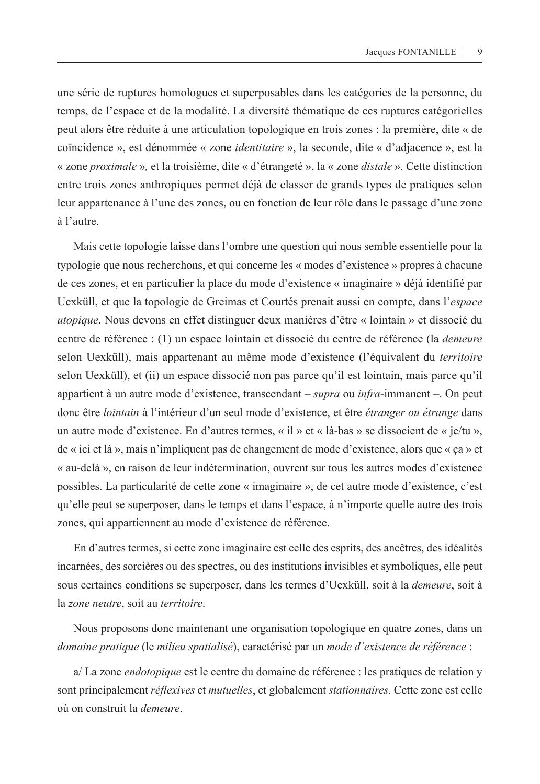une série de ruptures homologues et superposables dans les catégories de la personne, du temps, de l'espace et de la modalité. La diversité thématique de ces ruptures catégorielles peut alors être réduite à une articulation topologique en trois zones : la première, dite « de coïncidence », est dénommée « zone *identitaire* », la seconde, dite « d'adjacence », est la « zone *proximale* »*,* et la troisième, dite « d'étrangeté », la « zone *distale* ». Cette distinction entre trois zones anthropiques permet déjà de classer de grands types de pratiques selon leur appartenance à l'une des zones, ou en fonction de leur rôle dans le passage d'une zone à l'autre.

Mais cette topologie laisse dans l'ombre une question qui nous semble essentielle pour la typologie que nous recherchons, et qui concerne les « modes d'existence » propres à chacune de ces zones, et en particulier la place du mode d'existence « imaginaire » déjà identifié par Uexküll, et que la topologie de Greimas et Courtés prenait aussi en compte, dans l'*espace utopique*. Nous devons en effet distinguer deux manières d'être « lointain » et dissocié du centre de référence : (1) un espace lointain et dissocié du centre de référence (la *demeure* selon Uexküll), mais appartenant au même mode d'existence (l'équivalent du *territoire* selon Uexküll), et (ii) un espace dissocié non pas parce qu'il est lointain, mais parce qu'il appartient à un autre mode d'existence, transcendant – *supra* ou *infra*-immanent –. On peut donc être *lointain* à l'intérieur d'un seul mode d'existence, et être *étranger ou étrange* dans un autre mode d'existence. En d'autres termes, « il » et « là-bas » se dissocient de « je/tu », de « ici et là », mais n'impliquent pas de changement de mode d'existence, alors que « ça » et « au-delà », en raison de leur indétermination, ouvrent sur tous les autres modes d'existence possibles. La particularité de cette zone « imaginaire », de cet autre mode d'existence, c'est qu'elle peut se superposer, dans le temps et dans l'espace, à n'importe quelle autre des trois zones, qui appartiennent au mode d'existence de référence.

En d'autres termes, si cette zone imaginaire est celle des esprits, des ancêtres, des idéalités incarnées, des sorcières ou des spectres, ou des institutions invisibles et symboliques, elle peut sous certaines conditions se superposer, dans les termes d'Uexküll, soit à la *demeure*, soit à la *zone neutre*, soit au *territoire*.

Nous proposons donc maintenant une organisation topologique en quatre zones, dans un *domaine pratique* (le *milieu spatialisé*), caractérisé par un *mode d'existence de référence* :

a/ La zone *endotopique* est le centre du domaine de référence : les pratiques de relation y sont principalement *réflexives* et *mutuelles*, et globalement *stationnaires*. Cette zone est celle où on construit la *demeure*.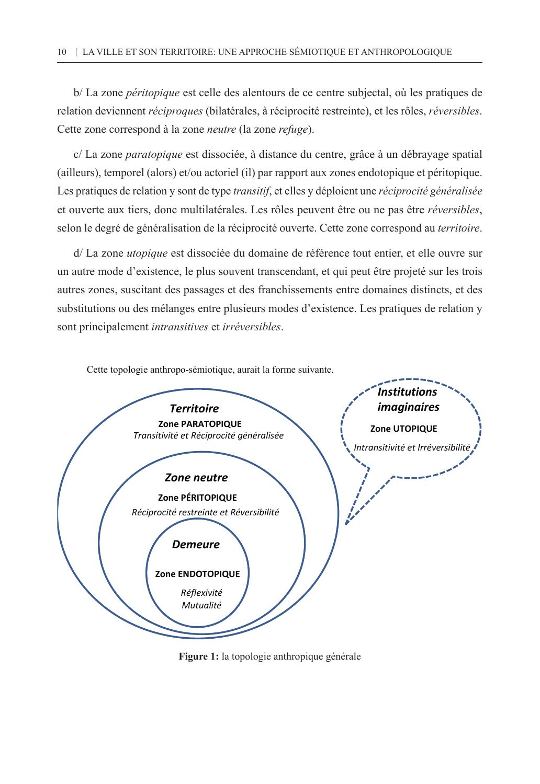b/ La zone *péritopique* est celle des alentours de ce centre subjectal, où les pratiques de relation deviennent *réciproques* (bilatérales, à réciprocité restreinte), et les rôles, *réversibles*. Cette zone correspond à la zone *neutre* (la zone *refuge*).

c/ La zone *paratopique* est dissociée, à distance du centre, grâce à un débrayage spatial (ailleurs), temporel (alors) et/ou actoriel (il) par rapport aux zones endotopique et péritopique. Les pratiques de relation y sont de type *transitif*, et elles y déploient une *réciprocité généralisée* et ouverte aux tiers, donc multilatérales. Les rôles peuvent être ou ne pas être *réversibles*, selon le degré de généralisation de la réciprocité ouverte. Cette zone correspond au *territoire*.

d/ La zone *utopique* est dissociée du domaine de référence tout entier, et elle ouvre sur un autre mode d'existence, le plus souvent transcendant, et qui peut être projeté sur les trois autres zones, suscitant des passages et des franchissements entre domaines distincts, et des substitutions ou des mélanges entre plusieurs modes d'existence. Les pratiques de relation y sont principalement *intransitives* et *irréversibles*.



**Figure 1** : *la topologie anthropique générale* **Figure 1:** la topologie anthropique générale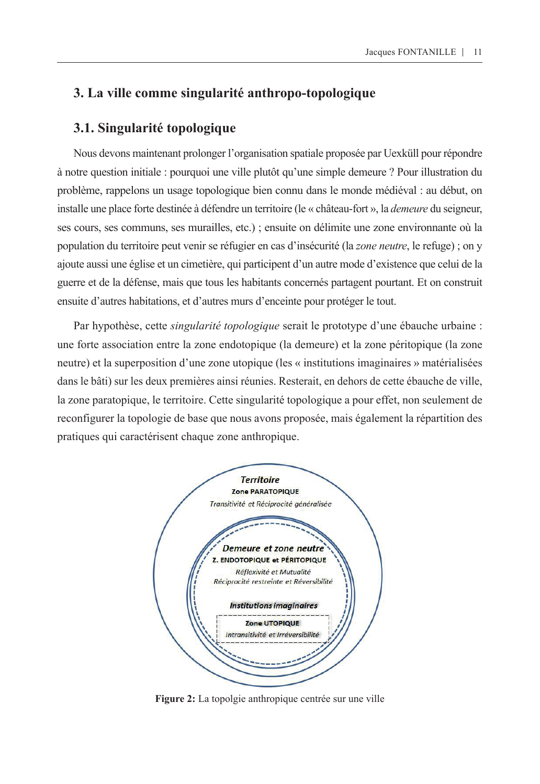## **3. La ville comme singularité anthropo-topologique**

#### **3.1. Singularité topologique**

Nous devons maintenant prolonger l'organisation spatiale proposée par Uexküll pour répondre à notre question initiale : pourquoi une ville plutôt qu'une simple demeure ? Pour illustration du problème, rappelons un usage topologique bien connu dans le monde médiéval : au début, on installe une place forte destinée à défendre un territoire (le « château-fort », la *demeure* du seigneur, ses cours, ses communs, ses murailles, etc.) ; ensuite on délimite une zone environnante où la population du territoire peut venir se réfugier en cas d'insécurité (la *zone neutre*, le refuge) ; on y ajoute aussi une église et un cimetière, qui participent d'un autre mode d'existence que celui de la guerre et de la défense, mais que tous les habitants concernés partagent pourtant. Et on construit ensuite d'autres habitations, et d'autres murs d'enceinte pour protéger le tout.

Par hypothèse, cette *singularité topologique* serait le prototype d'une ébauche urbaine : une forte association entre la zone endotopique (la demeure) et la zone péritopique (la zone neutre) et la superposition d'une zone utopique (les « institutions imaginaires » matérialisées dans le bâti) sur les deux premières ainsi réunies. Resterait, en dehors de cette ébauche de ville, la zone paratopique, le territoire. Cette singularité topologique a pour effet, non seulement de reconfigurer la topologie de base que nous avons proposée, mais également la répartition des pratiques qui caractérisent chaque zone anthropique.



**Figure 2:** La topolgie anthropique centrée sur une ville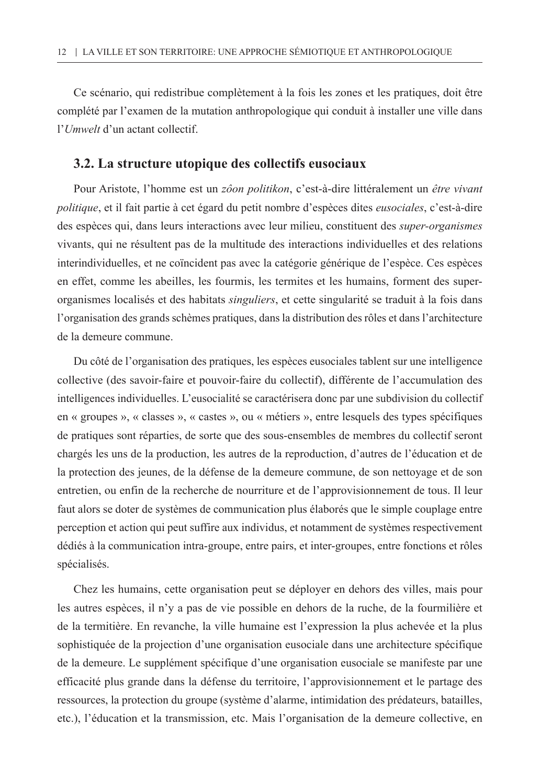Ce scénario, qui redistribue complètement à la fois les zones et les pratiques, doit être complété par l'examen de la mutation anthropologique qui conduit à installer une ville dans l'*Umwelt* d'un actant collectif.

#### **3.2. La structure utopique des collectifs eusociaux**

Pour Aristote, l'homme est un *zôon politikon*, c'est-à-dire littéralement un *être vivant politique*, et il fait partie à cet égard du petit nombre d'espèces dites *eusociales*, c'est-à-dire des espèces qui, dans leurs interactions avec leur milieu, constituent des *super-organismes* vivants, qui ne résultent pas de la multitude des interactions individuelles et des relations interindividuelles, et ne coïncident pas avec la catégorie générique de l'espèce. Ces espèces en effet, comme les abeilles, les fourmis, les termites et les humains, forment des superorganismes localisés et des habitats *singuliers*, et cette singularité se traduit à la fois dans l'organisation des grands schèmes pratiques, dans la distribution des rôles et dans l'architecture de la demeure commune.

Du côté de l'organisation des pratiques, les espèces eusociales tablent sur une intelligence collective (des savoir-faire et pouvoir-faire du collectif), différente de l'accumulation des intelligences individuelles. L'eusocialité se caractérisera donc par une subdivision du collectif en « groupes », « classes », « castes », ou « métiers », entre lesquels des types spécifiques de pratiques sont réparties, de sorte que des sous-ensembles de membres du collectif seront chargés les uns de la production, les autres de la reproduction, d'autres de l'éducation et de la protection des jeunes, de la défense de la demeure commune, de son nettoyage et de son entretien, ou enfin de la recherche de nourriture et de l'approvisionnement de tous. Il leur faut alors se doter de systèmes de communication plus élaborés que le simple couplage entre perception et action qui peut suffire aux individus, et notamment de systèmes respectivement dédiés à la communication intra-groupe, entre pairs, et inter-groupes, entre fonctions et rôles spécialisés.

Chez les humains, cette organisation peut se déployer en dehors des villes, mais pour les autres espèces, il n'y a pas de vie possible en dehors de la ruche, de la fourmilière et de la termitière. En revanche, la ville humaine est l'expression la plus achevée et la plus sophistiquée de la projection d'une organisation eusociale dans une architecture spécifique de la demeure. Le supplément spécifique d'une organisation eusociale se manifeste par une efficacité plus grande dans la défense du territoire, l'approvisionnement et le partage des ressources, la protection du groupe (système d'alarme, intimidation des prédateurs, batailles, etc.), l'éducation et la transmission, etc. Mais l'organisation de la demeure collective, en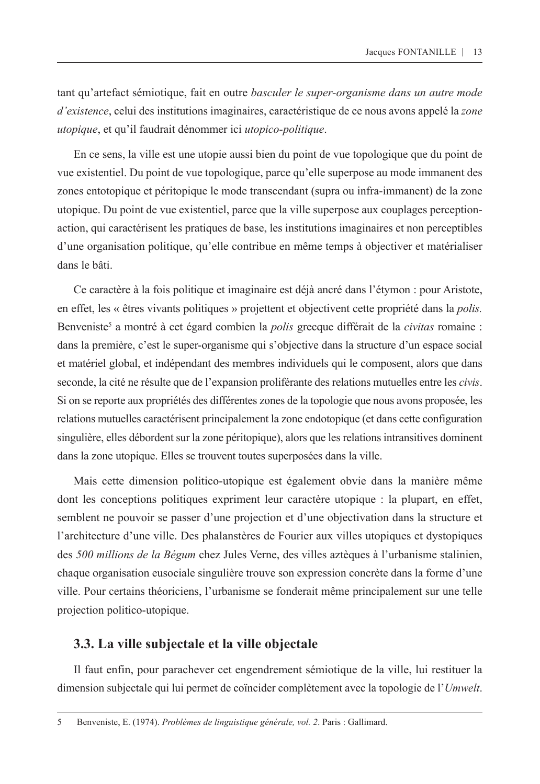tant qu'artefact sémiotique, fait en outre *basculer le super-organisme dans un autre mode d'existence*, celui des institutions imaginaires, caractéristique de ce nous avons appelé la *zone utopique*, et qu'il faudrait dénommer ici *utopico-politique*.

En ce sens, la ville est une utopie aussi bien du point de vue topologique que du point de vue existentiel. Du point de vue topologique, parce qu'elle superpose au mode immanent des zones entotopique et péritopique le mode transcendant (supra ou infra-immanent) de la zone utopique. Du point de vue existentiel, parce que la ville superpose aux couplages perceptionaction, qui caractérisent les pratiques de base, les institutions imaginaires et non perceptibles d'une organisation politique, qu'elle contribue en même temps à objectiver et matérialiser dans le bâti.

Ce caractère à la fois politique et imaginaire est déjà ancré dans l'étymon : pour Aristote, en effet, les « êtres vivants politiques » projettent et objectivent cette propriété dans la *polis.* Benveniste<sup>5</sup> a montré à cet égard combien la *polis* grecque différait de la *civitas* romaine : dans la première, c'est le super-organisme qui s'objective dans la structure d'un espace social et matériel global, et indépendant des membres individuels qui le composent, alors que dans seconde, la cité ne résulte que de l'expansion proliférante des relations mutuelles entre les *civis*. Si on se reporte aux propriétés des différentes zones de la topologie que nous avons proposée, les relations mutuelles caractérisent principalement la zone endotopique (et dans cette configuration singulière, elles débordent sur la zone péritopique), alors que les relations intransitives dominent dans la zone utopique. Elles se trouvent toutes superposées dans la ville.

Mais cette dimension politico-utopique est également obvie dans la manière même dont les conceptions politiques expriment leur caractère utopique : la plupart, en effet, semblent ne pouvoir se passer d'une projection et d'une objectivation dans la structure et l'architecture d'une ville. Des phalanstères de Fourier aux villes utopiques et dystopiques des *500 millions de la Bégum* chez Jules Verne, des villes aztèques à l'urbanisme stalinien, chaque organisation eusociale singulière trouve son expression concrète dans la forme d'une ville. Pour certains théoriciens, l'urbanisme se fonderait même principalement sur une telle projection politico-utopique.

#### **3.3. La ville subjectale et la ville objectale**

Il faut enfin, pour parachever cet engendrement sémiotique de la ville, lui restituer la dimension subjectale qui lui permet de coïncider complètement avec la topologie de l'*Umwelt*.

<sup>5</sup> Benveniste, E. (1974). *Problèmes de linguistique générale, vol. 2*. Paris : Gallimard.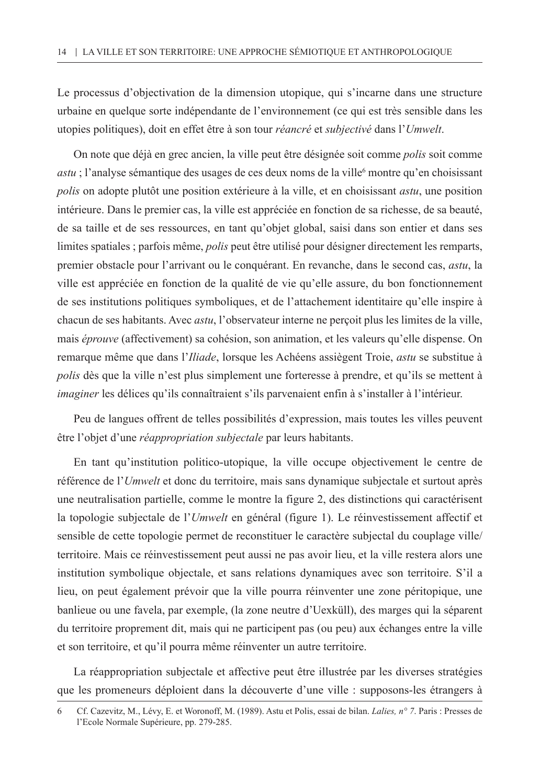Le processus d'objectivation de la dimension utopique, qui s'incarne dans une structure urbaine en quelque sorte indépendante de l'environnement (ce qui est très sensible dans les utopies politiques), doit en effet être à son tour *réancré* et *subjectivé* dans l'*Umwelt*.

On note que déjà en grec ancien, la ville peut être désignée soit comme *polis* soit comme *astu* ; l'analyse sémantique des usages de ces deux noms de la ville<sup>6</sup> montre qu'en choisissant *polis* on adopte plutôt une position extérieure à la ville, et en choisissant *astu*, une position intérieure. Dans le premier cas, la ville est appréciée en fonction de sa richesse, de sa beauté, de sa taille et de ses ressources, en tant qu'objet global, saisi dans son entier et dans ses limites spatiales ; parfois même, *polis* peut être utilisé pour désigner directement les remparts, premier obstacle pour l'arrivant ou le conquérant. En revanche, dans le second cas, *astu*, la ville est appréciée en fonction de la qualité de vie qu'elle assure, du bon fonctionnement de ses institutions politiques symboliques, et de l'attachement identitaire qu'elle inspire à chacun de ses habitants. Avec *astu*, l'observateur interne ne perçoit plus les limites de la ville, mais *éprouve* (affectivement) sa cohésion, son animation, et les valeurs qu'elle dispense. On remarque même que dans l'*Iliade*, lorsque les Achéens assiègent Troie, *astu* se substitue à *polis* dès que la ville n'est plus simplement une forteresse à prendre, et qu'ils se mettent à *imaginer* les délices qu'ils connaîtraient s'ils parvenaient enfin à s'installer à l'intérieur.

Peu de langues offrent de telles possibilités d'expression, mais toutes les villes peuvent être l'objet d'une *réappropriation subjectale* par leurs habitants.

En tant qu'institution politico-utopique, la ville occupe objectivement le centre de référence de l'*Umwelt* et donc du territoire, mais sans dynamique subjectale et surtout après une neutralisation partielle, comme le montre la figure 2, des distinctions qui caractérisent la topologie subjectale de l'*Umwelt* en général (figure 1). Le réinvestissement affectif et sensible de cette topologie permet de reconstituer le caractère subjectal du couplage ville/ territoire. Mais ce réinvestissement peut aussi ne pas avoir lieu, et la ville restera alors une institution symbolique objectale, et sans relations dynamiques avec son territoire. S'il a lieu, on peut également prévoir que la ville pourra réinventer une zone péritopique, une banlieue ou une favela, par exemple, (la zone neutre d'Uexküll), des marges qui la séparent du territoire proprement dit, mais qui ne participent pas (ou peu) aux échanges entre la ville et son territoire, et qu'il pourra même réinventer un autre territoire.

La réappropriation subjectale et affective peut être illustrée par les diverses stratégies que les promeneurs déploient dans la découverte d'une ville : supposons-les étrangers à

<sup>6</sup> Cf. Cazevitz, M., Lévy, E. et Woronoff, M. (1989). Astu et Polis, essai de bilan. *Lalies, n° 7*. Paris : Presses de l'Ecole Normale Supérieure, pp. 279-285.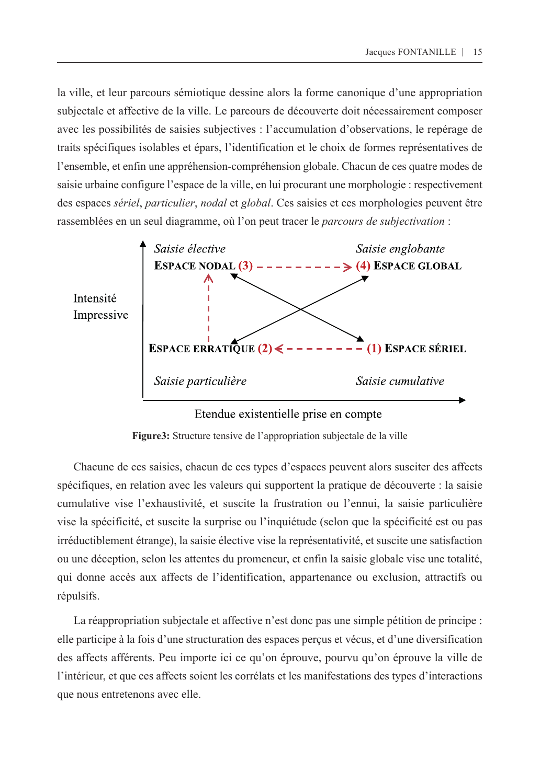la ville, et leur parcours sémiotique dessine alors la forme canonique d'une appropriation subjectale et affective de la ville. Le parcours de découverte doit nécessairement composer avec les possibilités de saisies subjectives : l'accumulation d'observations, le repérage de traits spécifiques isolables et épars, l'identification et le choix de formes représentatives de l'ensemble, et enfin une appréhension-compréhension globale. Chacun de ces quatre modes de saisie urbaine configure l'espace de la ville, en lui procurant une morphologie : respectivement des espaces *sériel*, *particulier*, *nodal* et *global*. Ces saisies et ces morphologies peuvent être rassemblées en un seul diagramme, où l'on peut tracer le *parcours de subjectivation* :



#### Etendue existentielle prise en compte

**Figure3:** Structure tensive de l'appropriation subjectale de la ville

Chacune de ces saisies, chacun de ces types d'espaces peuvent alors susciter des affects spécifiques, en relation avec les valeurs qui supportent la pratique de découverte : la saisie cumulative vise l'exhaustivité, et suscite la frustration ou l'ennui, la saisie particulière vise la spécificité, et suscite la surprise ou l'inquiétude (selon que la spécificité est ou pas irréductiblement étrange), la saisie élective vise la représentativité, et suscite une satisfaction ou une déception, selon les attentes du promeneur, et enfin la saisie globale vise une totalité, qui donne accès aux affects de l'identification, appartenance ou exclusion, attractifs ou répulsifs.

La réappropriation subjectale et affective n'est donc pas une simple pétition de principe : elle participe à la fois d'une structuration des espaces perçus et vécus, et d'une diversification des affects afférents. Peu importe ici ce qu'on éprouve, pourvu qu'on éprouve la ville de l'intérieur, et que ces affects soient les corrélats et les manifestations des types d'interactions que nous entretenons avec elle.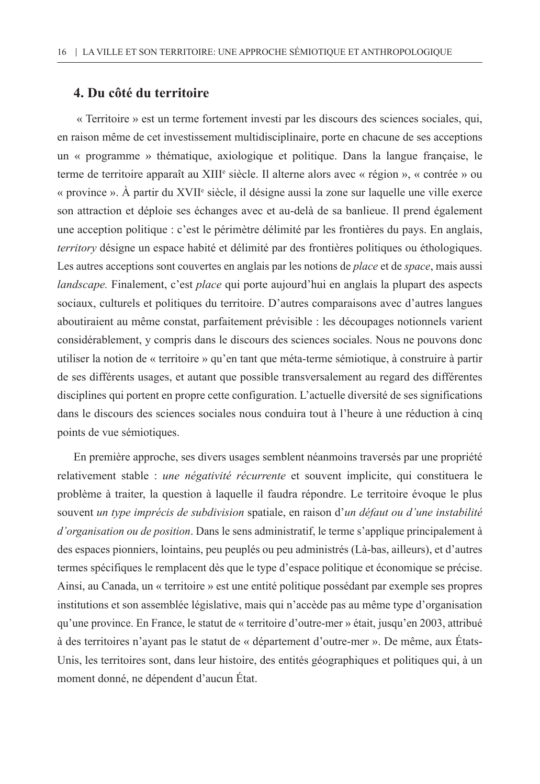## **4. Du côté du territoire**

 « Territoire » est un terme fortement investi par les discours des sciences sociales, qui, en raison même de cet investissement multidisciplinaire, porte en chacune de ses acceptions un « programme » thématique, axiologique et politique. Dans la langue française, le terme de territoire apparaît au XIII<sup>e</sup> siècle. Il alterne alors avec « région », « contrée » ou « province ». A partir du XVII<sup>e</sup> siècle, il désigne aussi la zone sur laquelle une ville exerce son attraction et déploie ses échanges avec et au-delà de sa banlieue. Il prend également une acception politique : c'est le périmètre délimité par les frontières du pays. En anglais, *territory* désigne un espace habité et délimité par des frontières politiques ou éthologiques. Les autres acceptions sont couvertes en anglais par les notions de *place* et de *space*, mais aussi *landscape.* Finalement, c'est *place* qui porte aujourd'hui en anglais la plupart des aspects sociaux, culturels et politiques du territoire. D'autres comparaisons avec d'autres langues aboutiraient au même constat, parfaitement prévisible : les découpages notionnels varient considérablement, y compris dans le discours des sciences sociales. Nous ne pouvons donc utiliser la notion de « territoire » qu'en tant que méta-terme sémiotique, à construire à partir de ses différents usages, et autant que possible transversalement au regard des différentes disciplines qui portent en propre cette configuration. L'actuelle diversité de ses significations dans le discours des sciences sociales nous conduira tout à l'heure à une réduction à cinq points de vue sémiotiques.

En première approche, ses divers usages semblent néanmoins traversés par une propriété relativement stable : *une négativité récurrente* et souvent implicite, qui constituera le problème à traiter, la question à laquelle il faudra répondre. Le territoire évoque le plus souvent *un type imprécis de subdivision* spatiale, en raison d'*un défaut ou d'une instabilité d'organisation ou de position*. Dans le sens administratif, le terme s'applique principalement à des espaces pionniers, lointains, peu peuplés ou peu administrés (Là-bas, ailleurs), et d'autres termes spécifiques le remplacent dès que le type d'espace politique et économique se précise. Ainsi, au Canada, un « territoire » est une entité politique possédant par exemple ses propres institutions et son assemblée législative, mais qui n'accède pas au même type d'organisation qu'une province. En France, le statut de « territoire d'outre-mer » était, jusqu'en 2003, attribué à des territoires n'ayant pas le statut de « département d'outre-mer ». De même, aux États-Unis, les territoires sont, dans leur histoire, des entités géographiques et politiques qui, à un moment donné, ne dépendent d'aucun État.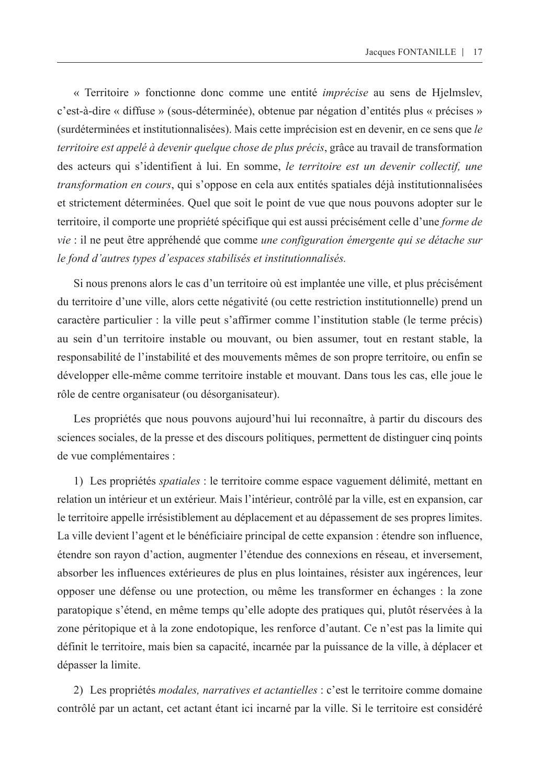« Territoire » fonctionne donc comme une entité *imprécise* au sens de Hjelmslev, c'est-à-dire « diffuse » (sous-déterminée), obtenue par négation d'entités plus « précises » (surdéterminées et institutionnalisées). Mais cette imprécision est en devenir, en ce sens que *le territoire est appelé à devenir quelque chose de plus précis*, grâce au travail de transformation des acteurs qui s'identifient à lui. En somme, *le territoire est un devenir collectif, une transformation en cours*, qui s'oppose en cela aux entités spatiales déjà institutionnalisées et strictement déterminées. Quel que soit le point de vue que nous pouvons adopter sur le territoire, il comporte une propriété spécifique qui est aussi précisément celle d'une *forme de vie* : il ne peut être appréhendé que comme *une configuration émergente qui se détache sur le fond d'autres types d'espaces stabilisés et institutionnalisés.*

Si nous prenons alors le cas d'un territoire où est implantée une ville, et plus précisément du territoire d'une ville, alors cette négativité (ou cette restriction institutionnelle) prend un caractère particulier : la ville peut s'affirmer comme l'institution stable (le terme précis) au sein d'un territoire instable ou mouvant, ou bien assumer, tout en restant stable, la responsabilité de l'instabilité et des mouvements mêmes de son propre territoire, ou enfin se développer elle-même comme territoire instable et mouvant. Dans tous les cas, elle joue le rôle de centre organisateur (ou désorganisateur).

Les propriétés que nous pouvons aujourd'hui lui reconnaître, à partir du discours des sciences sociales, de la presse et des discours politiques, permettent de distinguer cinq points de vue complémentaires :

1) Les propriétés *spatiales* : le territoire comme espace vaguement délimité, mettant en relation un intérieur et un extérieur. Mais l'intérieur, contrôlé par la ville, est en expansion, car le territoire appelle irrésistiblement au déplacement et au dépassement de ses propres limites. La ville devient l'agent et le bénéficiaire principal de cette expansion : étendre son influence, étendre son rayon d'action, augmenter l'étendue des connexions en réseau, et inversement, absorber les influences extérieures de plus en plus lointaines, résister aux ingérences, leur opposer une défense ou une protection, ou même les transformer en échanges : la zone paratopique s'étend, en même temps qu'elle adopte des pratiques qui, plutôt réservées à la zone péritopique et à la zone endotopique, les renforce d'autant. Ce n'est pas la limite qui définit le territoire, mais bien sa capacité, incarnée par la puissance de la ville, à déplacer et dépasser la limite.

2) Les propriétés *modales, narratives et actantielles* : c'est le territoire comme domaine contrôlé par un actant, cet actant étant ici incarné par la ville. Si le territoire est considéré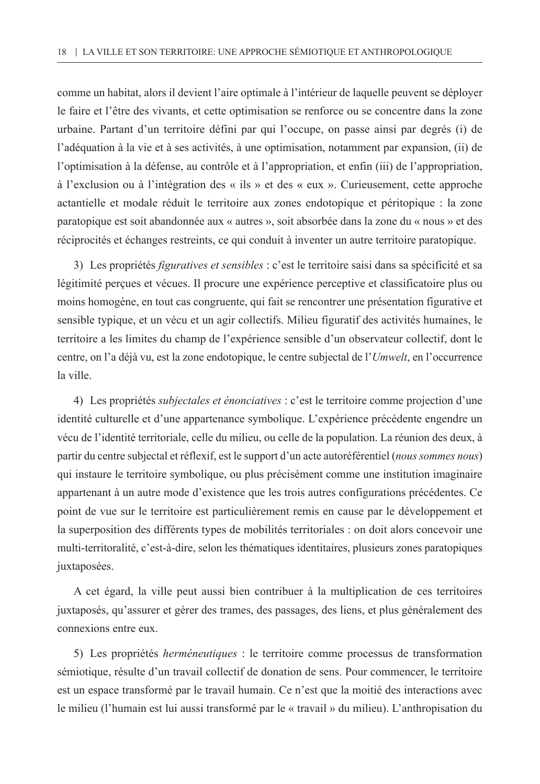comme un habitat, alors il devient l'aire optimale à l'intérieur de laquelle peuvent se déployer le faire et l'être des vivants, et cette optimisation se renforce ou se concentre dans la zone urbaine. Partant d'un territoire défini par qui l'occupe, on passe ainsi par degrés (i) de l'adéquation à la vie et à ses activités, à une optimisation, notamment par expansion, (ii) de l'optimisation à la défense, au contrôle et à l'appropriation, et enfin (iii) de l'appropriation, à l'exclusion ou à l'intégration des « ils » et des « eux ». Curieusement, cette approche actantielle et modale réduit le territoire aux zones endotopique et péritopique : la zone paratopique est soit abandonnée aux « autres », soit absorbée dans la zone du « nous » et des réciprocités et échanges restreints, ce qui conduit à inventer un autre territoire paratopique.

3) Les propriétés *figuratives et sensibles* : c'est le territoire saisi dans sa spécificité et sa légitimité perçues et vécues. Il procure une expérience perceptive et classificatoire plus ou moins homogène, en tout cas congruente, qui fait se rencontrer une présentation figurative et sensible typique, et un vécu et un agir collectifs. Milieu figuratif des activités humaines, le territoire a les limites du champ de l'expérience sensible d'un observateur collectif, dont le centre, on l'a déjà vu, est la zone endotopique, le centre subjectal de l'*Umwelt*, en l'occurrence la ville.

4) Les propriétés *subjectales et énonciatives* : c'est le territoire comme projection d'une identité culturelle et d'une appartenance symbolique. L'expérience précédente engendre un vécu de l'identité territoriale, celle du milieu, ou celle de la population. La réunion des deux, à partir du centre subjectal et réflexif, est le support d'un acte autoréférentiel (*nous sommes nous*) qui instaure le territoire symbolique, ou plus précisément comme une institution imaginaire appartenant à un autre mode d'existence que les trois autres configurations précédentes. Ce point de vue sur le territoire est particulièrement remis en cause par le développement et la superposition des différents types de mobilités territoriales : on doit alors concevoir une multi-territoralité, c'est-à-dire, selon les thématiques identitaires, plusieurs zones paratopiques juxtaposées.

A cet égard, la ville peut aussi bien contribuer à la multiplication de ces territoires juxtaposés, qu'assurer et gérer des trames, des passages, des liens, et plus généralement des connexions entre eux.

5) Les propriétés *herméneutiques* : le territoire comme processus de transformation sémiotique, résulte d'un travail collectif de donation de sens. Pour commencer, le territoire est un espace transformé par le travail humain. Ce n'est que la moitié des interactions avec le milieu (l'humain est lui aussi transformé par le « travail » du milieu). L'anthropisation du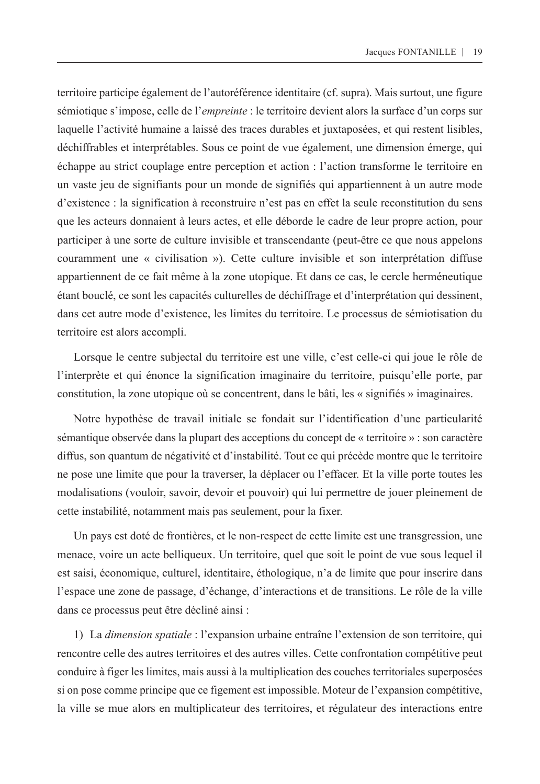territoire participe également de l'autoréférence identitaire (cf. supra). Mais surtout, une figure sémiotique s'impose, celle de l'*empreinte* : le territoire devient alors la surface d'un corps sur laquelle l'activité humaine a laissé des traces durables et juxtaposées, et qui restent lisibles, déchiffrables et interprétables. Sous ce point de vue également, une dimension émerge, qui échappe au strict couplage entre perception et action : l'action transforme le territoire en un vaste jeu de signifiants pour un monde de signifiés qui appartiennent à un autre mode d'existence : la signification à reconstruire n'est pas en effet la seule reconstitution du sens que les acteurs donnaient à leurs actes, et elle déborde le cadre de leur propre action, pour participer à une sorte de culture invisible et transcendante (peut-être ce que nous appelons couramment une « civilisation »). Cette culture invisible et son interprétation diffuse appartiennent de ce fait même à la zone utopique. Et dans ce cas, le cercle herméneutique étant bouclé, ce sont les capacités culturelles de déchiffrage et d'interprétation qui dessinent, dans cet autre mode d'existence, les limites du territoire. Le processus de sémiotisation du territoire est alors accompli.

Lorsque le centre subjectal du territoire est une ville, c'est celle-ci qui joue le rôle de l'interprète et qui énonce la signification imaginaire du territoire, puisqu'elle porte, par constitution, la zone utopique où se concentrent, dans le bâti, les « signifiés » imaginaires.

Notre hypothèse de travail initiale se fondait sur l'identification d'une particularité sémantique observée dans la plupart des acceptions du concept de « territoire » : son caractère diffus, son quantum de négativité et d'instabilité. Tout ce qui précède montre que le territoire ne pose une limite que pour la traverser, la déplacer ou l'effacer. Et la ville porte toutes les modalisations (vouloir, savoir, devoir et pouvoir) qui lui permettre de jouer pleinement de cette instabilité, notamment mais pas seulement, pour la fixer.

Un pays est doté de frontières, et le non-respect de cette limite est une transgression, une menace, voire un acte belliqueux. Un territoire, quel que soit le point de vue sous lequel il est saisi, économique, culturel, identitaire, éthologique, n'a de limite que pour inscrire dans l'espace une zone de passage, d'échange, d'interactions et de transitions. Le rôle de la ville dans ce processus peut être décliné ainsi :

1) La *dimension spatiale* : l'expansion urbaine entraîne l'extension de son territoire, qui rencontre celle des autres territoires et des autres villes. Cette confrontation compétitive peut conduire à figer les limites, mais aussi à la multiplication des couches territoriales superposées si on pose comme principe que ce figement est impossible. Moteur de l'expansion compétitive, la ville se mue alors en multiplicateur des territoires, et régulateur des interactions entre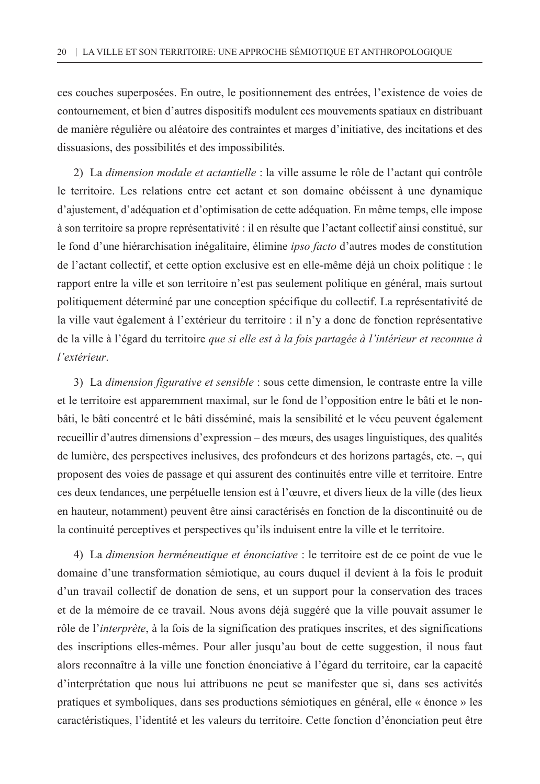ces couches superposées. En outre, le positionnement des entrées, l'existence de voies de contournement, et bien d'autres dispositifs modulent ces mouvements spatiaux en distribuant de manière régulière ou aléatoire des contraintes et marges d'initiative, des incitations et des dissuasions, des possibilités et des impossibilités.

2) La *dimension modale et actantielle* : la ville assume le rôle de l'actant qui contrôle le territoire. Les relations entre cet actant et son domaine obéissent à une dynamique d'ajustement, d'adéquation et d'optimisation de cette adéquation. En même temps, elle impose à son territoire sa propre représentativité : il en résulte que l'actant collectif ainsi constitué, sur le fond d'une hiérarchisation inégalitaire, élimine *ipso facto* d'autres modes de constitution de l'actant collectif, et cette option exclusive est en elle-même déjà un choix politique : le rapport entre la ville et son territoire n'est pas seulement politique en général, mais surtout politiquement déterminé par une conception spécifique du collectif. La représentativité de la ville vaut également à l'extérieur du territoire : il n'y a donc de fonction représentative de la ville à l'égard du territoire *que si elle est à la fois partagée à l'intérieur et reconnue à l'extérieur*.

3) La *dimension figurative et sensible* : sous cette dimension, le contraste entre la ville et le territoire est apparemment maximal, sur le fond de l'opposition entre le bâti et le nonbâti, le bâti concentré et le bâti disséminé, mais la sensibilité et le vécu peuvent également recueillir d'autres dimensions d'expression – des mœurs, des usages linguistiques, des qualités de lumière, des perspectives inclusives, des profondeurs et des horizons partagés, etc. –, qui proposent des voies de passage et qui assurent des continuités entre ville et territoire. Entre ces deux tendances, une perpétuelle tension est à l'œuvre, et divers lieux de la ville (des lieux en hauteur, notamment) peuvent être ainsi caractérisés en fonction de la discontinuité ou de la continuité perceptives et perspectives qu'ils induisent entre la ville et le territoire.

4) La *dimension herméneutique et énonciative* : le territoire est de ce point de vue le domaine d'une transformation sémiotique, au cours duquel il devient à la fois le produit d'un travail collectif de donation de sens, et un support pour la conservation des traces et de la mémoire de ce travail. Nous avons déjà suggéré que la ville pouvait assumer le rôle de l'*interprète*, à la fois de la signification des pratiques inscrites, et des significations des inscriptions elles-mêmes. Pour aller jusqu'au bout de cette suggestion, il nous faut alors reconnaître à la ville une fonction énonciative à l'égard du territoire, car la capacité d'interprétation que nous lui attribuons ne peut se manifester que si, dans ses activités pratiques et symboliques, dans ses productions sémiotiques en général, elle « énonce » les caractéristiques, l'identité et les valeurs du territoire. Cette fonction d'énonciation peut être